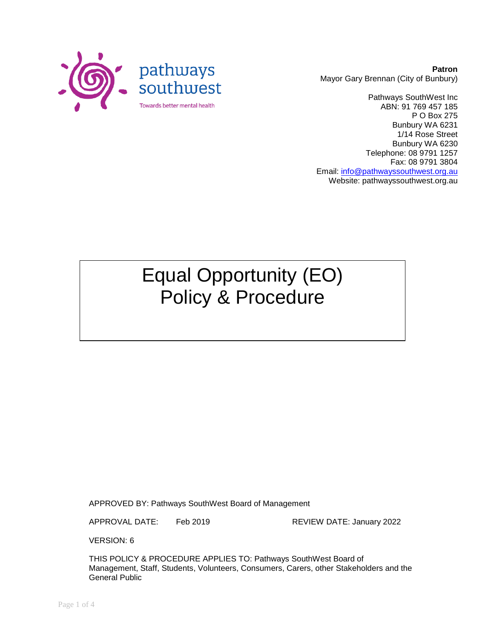

**Patron** Mayor Gary Brennan (City of Bunbury)

Pathways SouthWest Inc ABN: 91 769 457 185 P O Box 275 Bunbury WA 6231 1/14 Rose Street Bunbury WA 6230 Telephone: 08 9791 1257 Fax: 08 9791 3804 Email: [info@pathwayssouthwest.org.au](mailto:info@pathwayssouthwest.org.au) Website: pathwayssouthwest.org.au

# Equal Opportunity (EO) Policy & Procedure

APPROVED BY: Pathways SouthWest Board of Management

APPROVAL DATE: Feb 2019 REVIEW DATE: January 2022

VERSION: 6

THIS POLICY & PROCEDURE APPLIES TO: Pathways SouthWest Board of Management, Staff, Students, Volunteers, Consumers, Carers, other Stakeholders and the General Public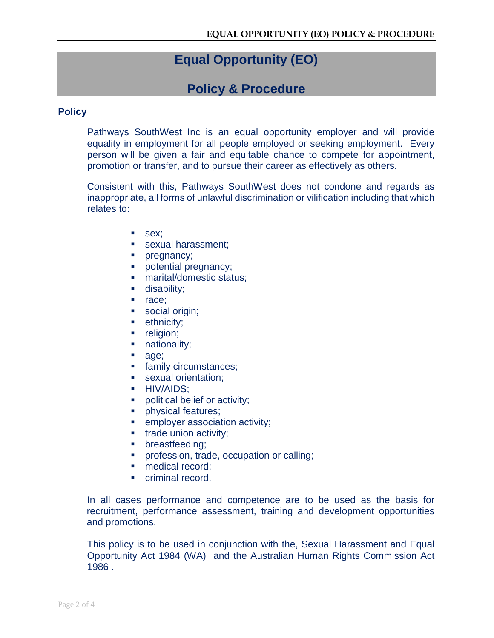## **Equal Opportunity (EO)**

### **Policy & Procedure**

#### **Policy**

Pathways SouthWest Inc is an equal opportunity employer and will provide equality in employment for all people employed or seeking employment. Every person will be given a fair and equitable chance to compete for appointment, promotion or transfer, and to pursue their career as effectively as others.

Consistent with this, Pathways SouthWest does not condone and regards as inappropriate, all forms of unlawful discrimination or vilification including that which relates to:

- sex;
- sexual harassment:
- pregnancy;
- **potential pregnancy;**
- marital/domestic status;
- **disability;**
- nace;
- social origin;
- **ethnicity;**
- **religion;**
- nationality;
- age;
- **family circumstances;**
- sexual orientation;
- **HIV/AIDS;**
- political belief or activity;
- **physical features;**
- **EXECUTE:** employer association activity;
- **trade union activity;**
- **•** breastfeeding;
- **•** profession, trade, occupation or calling;
- **medical record:**
- criminal record.

In all cases performance and competence are to be used as the basis for recruitment, performance assessment, training and development opportunities and promotions.

This policy is to be used in conjunction with the, Sexual Harassment and Equal Opportunity Act 1984 (WA) and the Australian Human Rights Commission Act 1986 .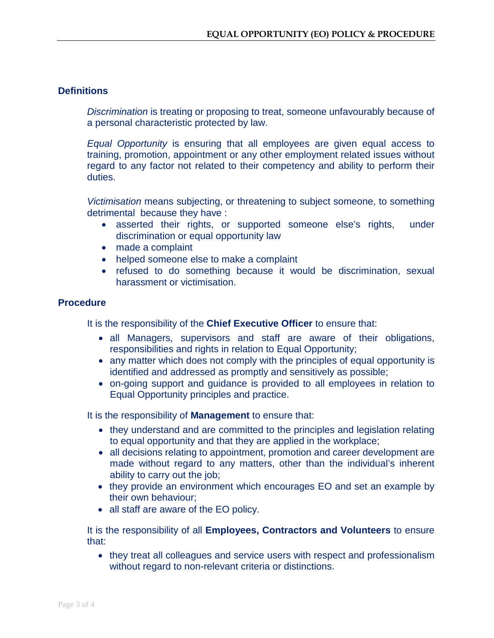#### **Definitions**

*Discrimination* is treating or proposing to treat, someone unfavourably because of a personal characteristic protected by law.

*Equal Opportunity* is ensuring that all employees are given equal access to training, promotion, appointment or any other employment related issues without regard to any factor not related to their competency and ability to perform their duties.

*Victimisation* means subjecting, or threatening to subject someone, to something detrimental because they have :

- asserted their rights, or supported someone else's rights, under discrimination or equal opportunity law
- made a complaint
- helped someone else to make a complaint
- refused to do something because it would be discrimination, sexual harassment or victimisation.

#### **Procedure**

It is the responsibility of the **Chief Executive Officer** to ensure that:

- all Managers, supervisors and staff are aware of their obligations, responsibilities and rights in relation to Equal Opportunity;
- any matter which does not comply with the principles of equal opportunity is identified and addressed as promptly and sensitively as possible;
- on-going support and guidance is provided to all employees in relation to Equal Opportunity principles and practice.

It is the responsibility of **Management** to ensure that:

- they understand and are committed to the principles and legislation relating to equal opportunity and that they are applied in the workplace;
- all decisions relating to appointment, promotion and career development are made without regard to any matters, other than the individual's inherent ability to carry out the job;
- they provide an environment which encourages EO and set an example by their own behaviour;
- all staff are aware of the EO policy.

It is the responsibility of all **Employees, Contractors and Volunteers** to ensure that:

• they treat all colleagues and service users with respect and professionalism without regard to non-relevant criteria or distinctions.